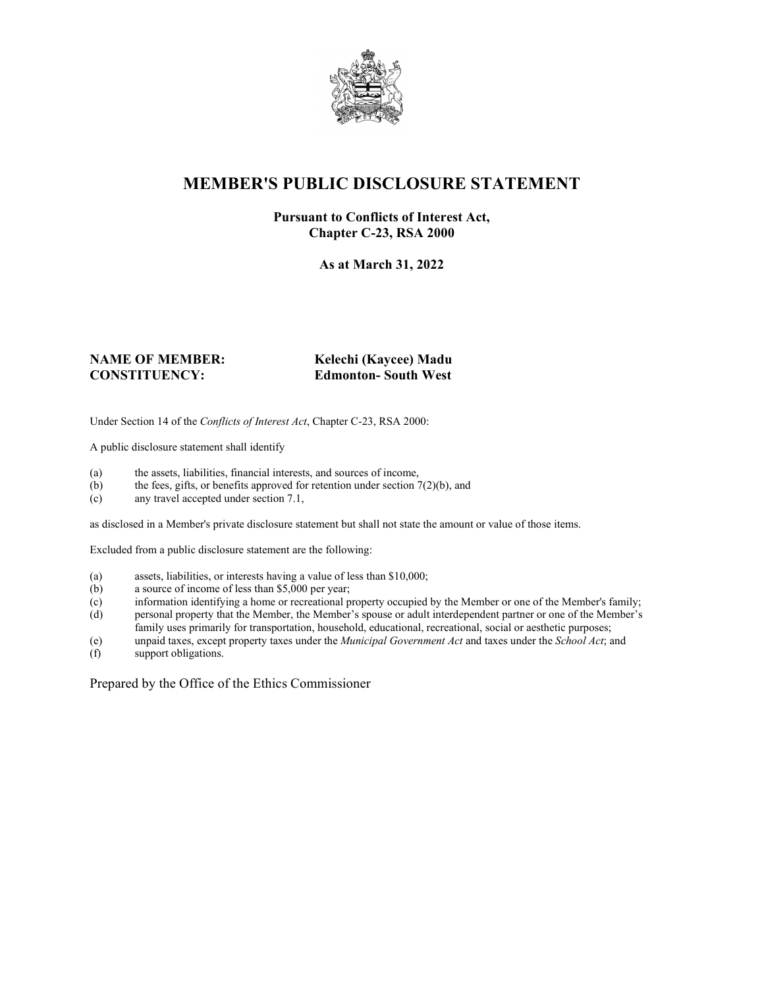

### **MEMBER'S PUBLIC DISCLOSURE STATEMENT**

#### **Pursuant to Conflicts of Interest Act, Chapter C-23, RSA 2000**

**As at March 31, 2022**

# **NAME OF MEMBER: Kelechi (Kaycee) Madu**

# **CONSTITUENCY: Edmonton- South West**

Under Section 14 of the *Conflicts of Interest Act*, Chapter C-23, RSA 2000:

A public disclosure statement shall identify

- (a) the assets, liabilities, financial interests, and sources of income,  $(b)$  the fees, gifts, or benefits approved for retention under section 7
- the fees, gifts, or benefits approved for retention under section  $7(2)(b)$ , and
- (c) any travel accepted under section 7.1,

as disclosed in a Member's private disclosure statement but shall not state the amount or value of those items.

Excluded from a public disclosure statement are the following:

- (a) assets, liabilities, or interests having a value of less than \$10,000;
- (b) a source of income of less than \$5,000 per year;
- (c) information identifying a home or recreational property occupied by the Member or one of the Member's family;
- (d) personal property that the Member, the Member's spouse or adult interdependent partner or one of the Member's family uses primarily for transportation, household, educational, recreational, social or aesthetic purposes;
- (e) unpaid taxes, except property taxes under the *Municipal Government Act* and taxes under the *School Act*; and
- (f) support obligations.

Prepared by the Office of the Ethics Commissioner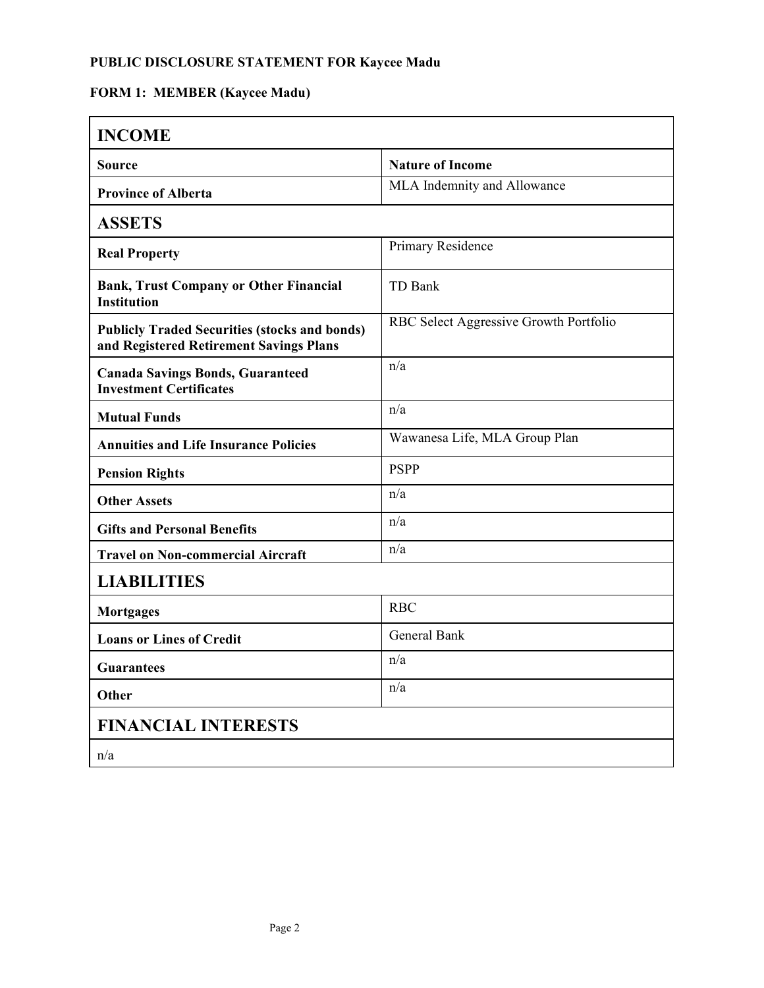#### **PUBLIC DISCLOSURE STATEMENT FOR Kaycee Madu**

## **FORM 1: MEMBER (Kaycee Madu)**

| <b>INCOME</b>                                                                                   |                                        |  |
|-------------------------------------------------------------------------------------------------|----------------------------------------|--|
| <b>Source</b>                                                                                   | <b>Nature of Income</b>                |  |
| <b>Province of Alberta</b>                                                                      | MLA Indemnity and Allowance            |  |
| <b>ASSETS</b>                                                                                   |                                        |  |
| <b>Real Property</b>                                                                            | Primary Residence                      |  |
| <b>Bank, Trust Company or Other Financial</b><br><b>Institution</b>                             | TD Bank                                |  |
| <b>Publicly Traded Securities (stocks and bonds)</b><br>and Registered Retirement Savings Plans | RBC Select Aggressive Growth Portfolio |  |
| <b>Canada Savings Bonds, Guaranteed</b><br><b>Investment Certificates</b>                       | n/a                                    |  |
| <b>Mutual Funds</b>                                                                             | n/a                                    |  |
| <b>Annuities and Life Insurance Policies</b>                                                    | Wawanesa Life, MLA Group Plan          |  |
| <b>Pension Rights</b>                                                                           | <b>PSPP</b>                            |  |
| <b>Other Assets</b>                                                                             | n/a                                    |  |
| <b>Gifts and Personal Benefits</b>                                                              | n/a                                    |  |
| <b>Travel on Non-commercial Aircraft</b>                                                        | n/a                                    |  |
| <b>LIABILITIES</b>                                                                              |                                        |  |
| <b>Mortgages</b>                                                                                | <b>RBC</b>                             |  |
| <b>Loans or Lines of Credit</b>                                                                 | <b>General Bank</b>                    |  |
| <b>Guarantees</b>                                                                               | n/a                                    |  |
| Other                                                                                           | n/a                                    |  |
| <b>FINANCIAL INTERESTS</b>                                                                      |                                        |  |
| n/a                                                                                             |                                        |  |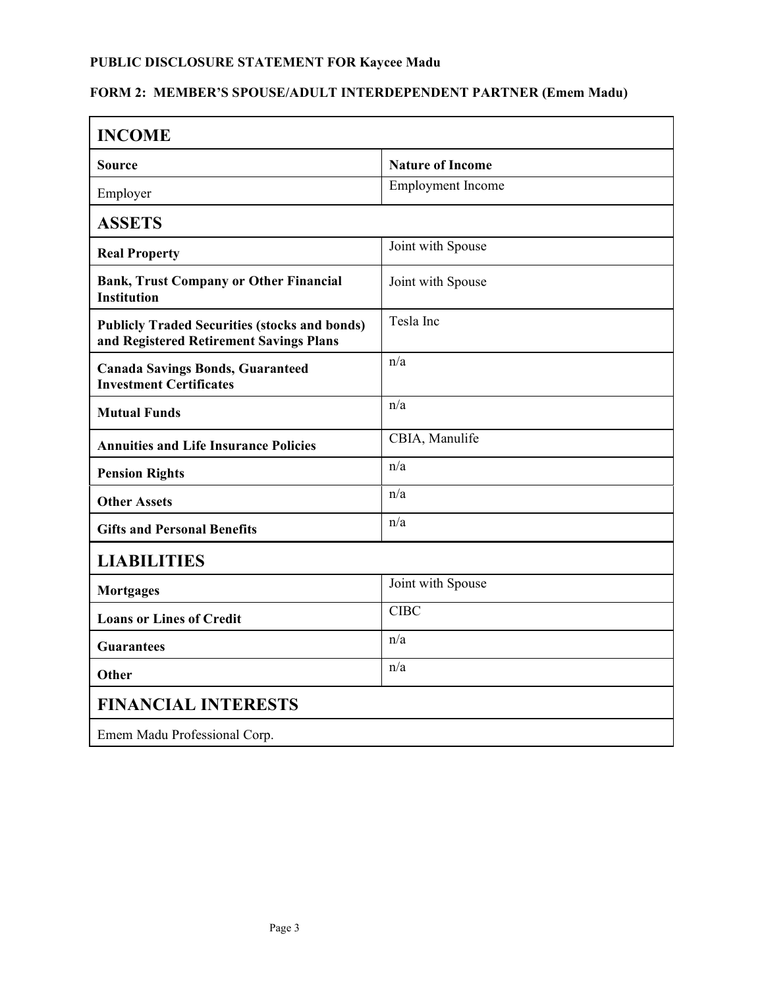## **PUBLIC DISCLOSURE STATEMENT FOR Kaycee Madu**

#### **FORM 2: MEMBER'S SPOUSE/ADULT INTERDEPENDENT PARTNER (Emem Madu)**

| <b>INCOME</b>                                                                                   |                          |
|-------------------------------------------------------------------------------------------------|--------------------------|
| Source                                                                                          | <b>Nature of Income</b>  |
| Employer                                                                                        | <b>Employment Income</b> |
| <b>ASSETS</b>                                                                                   |                          |
| <b>Real Property</b>                                                                            | Joint with Spouse        |
| <b>Bank, Trust Company or Other Financial</b><br><b>Institution</b>                             | Joint with Spouse        |
| <b>Publicly Traded Securities (stocks and bonds)</b><br>and Registered Retirement Savings Plans | Tesla Inc                |
| <b>Canada Savings Bonds, Guaranteed</b><br><b>Investment Certificates</b>                       | n/a                      |
| <b>Mutual Funds</b>                                                                             | n/a                      |
| <b>Annuities and Life Insurance Policies</b>                                                    | CBIA, Manulife           |
| <b>Pension Rights</b>                                                                           | n/a                      |
| <b>Other Assets</b>                                                                             | n/a                      |
| <b>Gifts and Personal Benefits</b>                                                              | n/a                      |
| <b>LIABILITIES</b>                                                                              |                          |
| <b>Mortgages</b>                                                                                | Joint with Spouse        |
| <b>Loans or Lines of Credit</b>                                                                 | <b>CIBC</b>              |
| <b>Guarantees</b>                                                                               | n/a                      |
| Other                                                                                           | n/a                      |
| <b>FINANCIAL INTERESTS</b>                                                                      |                          |
| Emem Madu Professional Corp.                                                                    |                          |